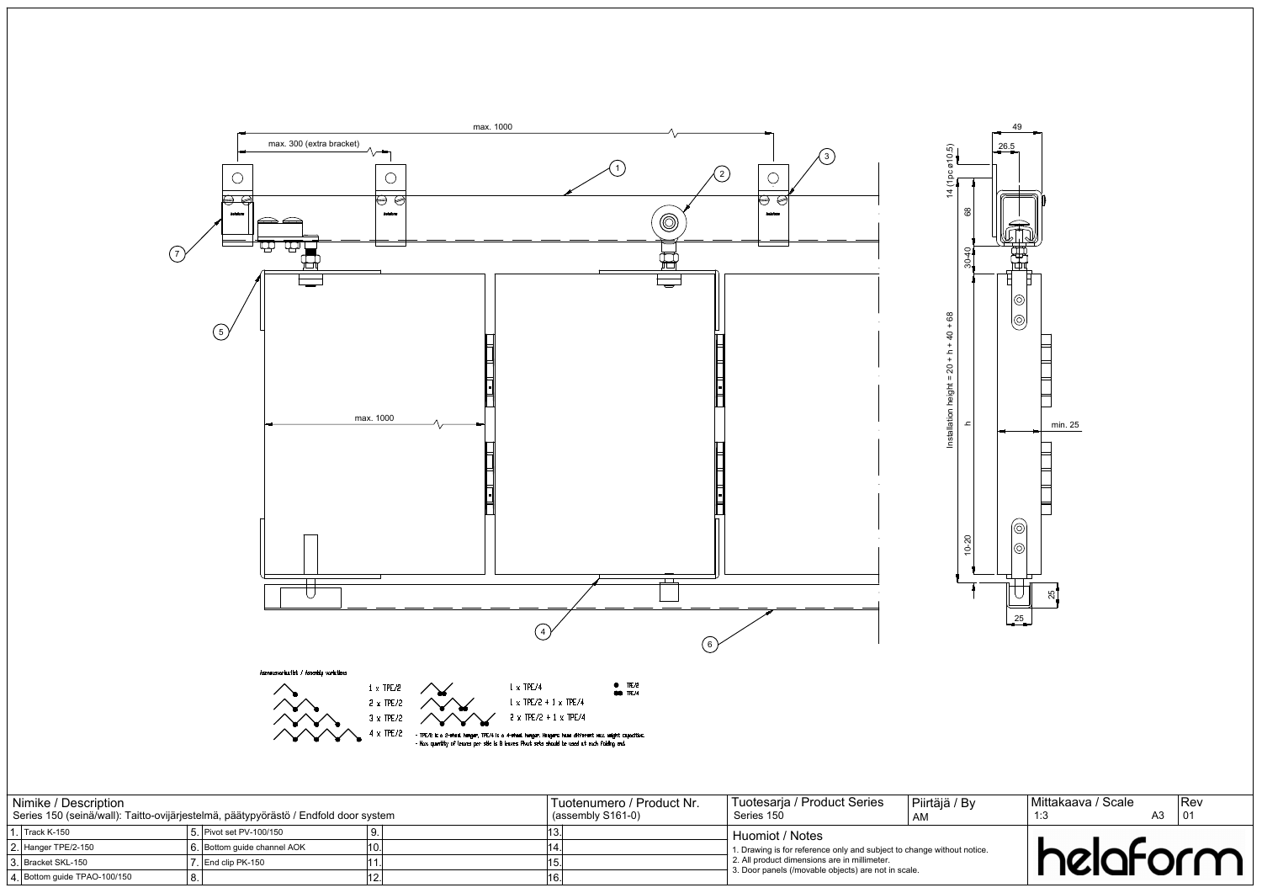



| Nimike / Description                     | Series 150 (seinä/wall): Taitto-ovijärjestelmä, päätypyörästö / Endfold door system | Tuotenumero / Product Nr.<br>$(assembly S161-0)$ | Tuotesaria / Product Series<br>Series 150                                                                                                                                                            | Piirtäjä / By<br>AM | Mittakaava / Scale | A3. | Rev |
|------------------------------------------|-------------------------------------------------------------------------------------|--------------------------------------------------|------------------------------------------------------------------------------------------------------------------------------------------------------------------------------------------------------|---------------------|--------------------|-----|-----|
| . Track K-150                            | 5. Pivot set PV-100/150                                                             |                                                  | l Huomiot / Notes<br>1. Drawing is for reference only and subject to change without notice.<br>L 2. All product dimensions are in millimeter.<br>3. Door panels (/movable objects) are not in scale. |                     |                    |     |     |
| 2. Hanger TPE/2-150<br>3 Bracket SKL-150 | 6. Bottom quide channel AOK<br>7 End clip PK-150                                    |                                                  |                                                                                                                                                                                                      |                     | helaform           |     |     |
| 4. Bottom guide TPAO-100/150             |                                                                                     |                                                  |                                                                                                                                                                                                      |                     |                    |     |     |